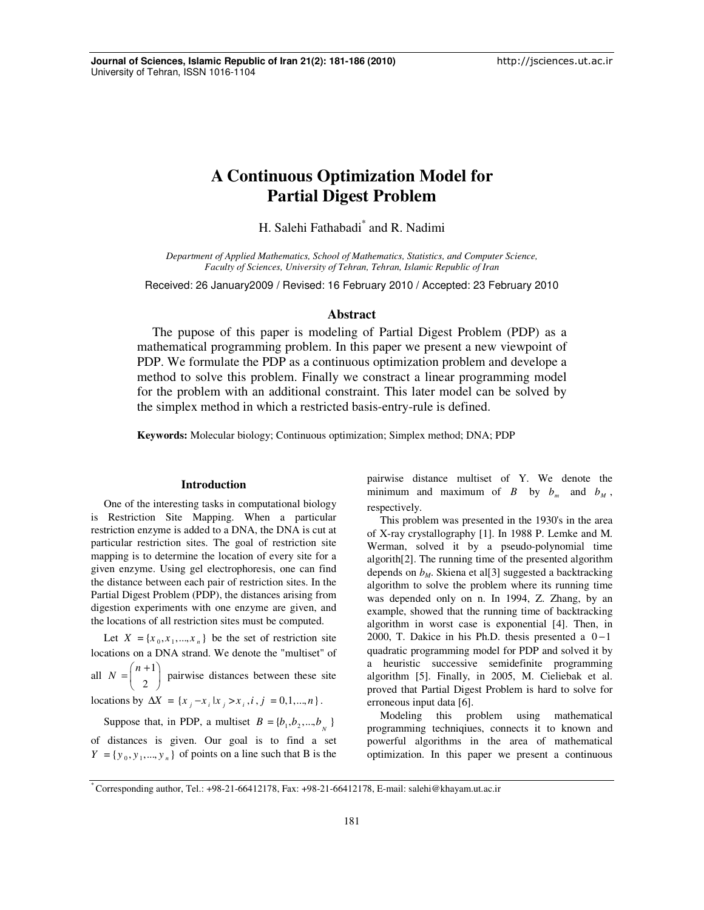# **A Continuous Optimization Model for Partial Digest Problem**

H. Salehi Fathabadi<sup>\*</sup> and R. Nadimi

*Department of Applied Mathematics, School of Mathematics, Statistics, and Computer Science, Faculty of Sciences, University of Tehran, Tehran, Islamic Republic of Iran* 

Received: 26 January2009 / Revised: 16 February 2010 / Accepted: 23 February 2010

# **Abstract**

The pupose of this paper is modeling of Partial Digest Problem (PDP) as a mathematical programming problem. In this paper we present a new viewpoint of PDP. We formulate the PDP as a continuous optimization problem and develope a method to solve this problem. Finally we constract a linear programming model for the problem with an additional constraint. This later model can be solved by the simplex method in which a restricted basis-entry-rule is defined.

**Keywords:** Molecular biology; Continuous optimization; Simplex method; DNA; PDP

## **Introduction**

One of the interesting tasks in computational biology is Restriction Site Mapping. When a particular restriction enzyme is added to a DNA, the DNA is cut at particular restriction sites. The goal of restriction site mapping is to determine the location of every site for a given enzyme. Using gel electrophoresis, one can find the distance between each pair of restriction sites. In the Partial Digest Problem (PDP), the distances arising from digestion experiments with one enzyme are given, and the locations of all restriction sites must be computed.

Let  $X = \{x_0, x_1, ..., x_n\}$  be the set of restriction site locations on a DNA strand. We denote the "multiset" of all  $N = \binom{n+1}{2}$ 

2  $N = \binom{n+1}{2}$  pairwise distances between these site

locations by  $\Delta X = \{x_i - x_i | x_i > x_i, i, j = 0, 1, ..., n\}$ .

Suppose that, in PDP, a multiset  $B = \{b_1, b_2, ..., b_{N} \}$ of distances is given. Our goal is to find a set

 $Y = {y_0, y_1, ..., y_n}$  of points on a line such that B is the

pairwise distance multiset of Y. We denote the minimum and maximum of *B* by  $b_m$  and  $b_M$ , respectively.

This problem was presented in the 1930's in the area of X-ray crystallography [1]. In 1988 P. Lemke and M. Werman, solved it by a pseudo-polynomial time algorith[2]. The running time of the presented algorithm depends on *bM*. Skiena et al[3] suggested a backtracking algorithm to solve the problem where its running time was depended only on n. In 1994, Z. Zhang, by an example, showed that the running time of backtracking algorithm in worst case is exponential [4]. Then, in 2000, T. Dakice in his Ph.D. thesis presented a  $0-1$ quadratic programming model for PDP and solved it by a heuristic successive semidefinite programming algorithm [5]. Finally, in 2005, M. Cieliebak et al. proved that Partial Digest Problem is hard to solve for erroneous input data [6].

Modeling this problem using mathematical programming techniqiues, connects it to known and powerful algorithms in the area of mathematical optimization. In this paper we present a continuous

<sup>\*</sup> Corresponding author, Tel.: +98-21-66412178, Fax: +98-21-66412178, E-mail: salehi@khayam.ut.ac.ir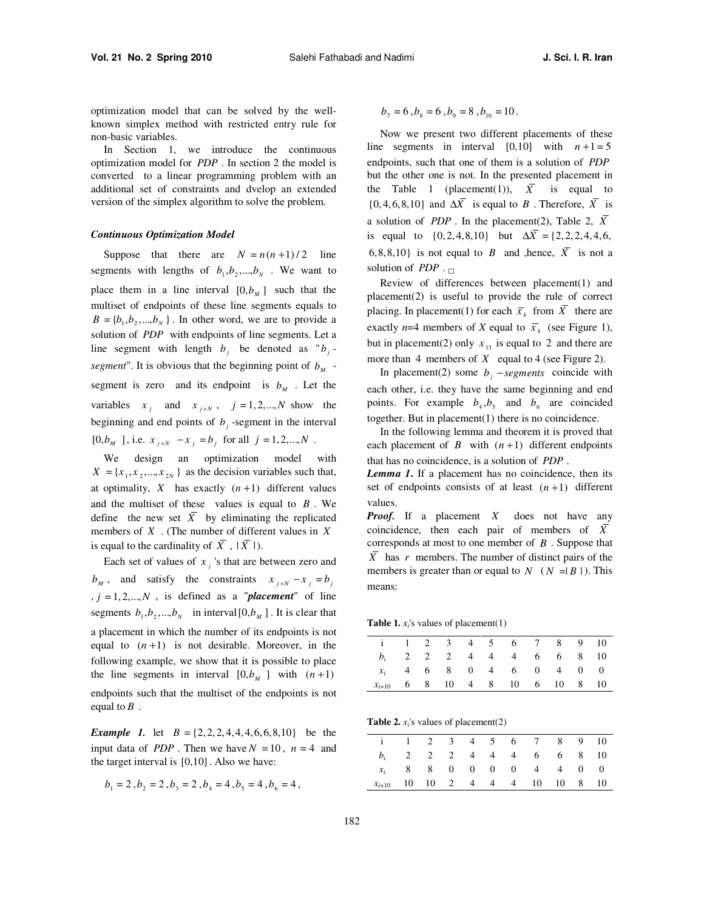optimization model that can be solved by the wellknown simplex method with restricted entry rule for non-basic variables.

In Section 1, we introduce the continuous optimization model for *PDP* . In section 2 the model is converted to a linear programming problem with an additional set of constraints and dvelop an extended version of the simplex algorithm to solve the problem.

# *Continuous Optimization Model*

Suppose that there are  $N = n(n+1)/2$  line segments with lengths of  $b_1, b_2, ..., b_N$ . We want to place them in a line interval  $[0, b<sub>M</sub>]$  such that the multiset of endpoints of these line segments equals to  $B = \{b_1, b_2, \dots, b_N\}$ . In other word, we are to provide a solution of *PDP* with endpoints of line segments. Let a line segment with length  $b_j$  be denoted as " $b_j$ *segment*". It is obvious that the beginning point of  $b<sub>M</sub>$  segment is zero and its endpoint is  $b_M$ . Let the variables  $x_j$  and  $x_{j+N}$ ,  $j=1,2,...,N$  show the beginning and end points of  $b_j$ -segment in the interval  $[0, b<sub>M</sub>]$ , i.e.  $x<sub>j+N</sub> - x<sub>j</sub> = b<sub>j</sub>$  for all  $j = 1, 2, ..., N$ .

We design an optimization model with  $X = \{x_1, x_2, ..., x_{2N}\}\$ as the decision variables such that, at optimality,  $X$  has exactly  $(n+1)$  different values and the multiset of these values is equal to *B* . We define the new set  $\overline{X}$  by eliminating the replicated members of *X* . (The number of different values in *X* is equal to the cardinality of  $\overline{X}$ ,  $|\overline{X}|$ ).

Each set of values of  $x_j$ 's that are between zero and  $b_M$ , and satisfy the constraints  $x_{j+N} - x_j = b_j$  $, j = 1, 2, \ldots, N$ , is defined as a "*placement*" of line segments  $b_1, b_2, ..., b_N$  in interval  $[0, b_M]$ . It is clear that a placement in which the number of its endpoints is not equal to  $(n+1)$  is not desirable. Moreover, in the following example, we show that it is possible to place the line segments in interval  $[0,b<sub>M</sub>]$  with  $(n+1)$ endpoints such that the multiset of the endpoints is not equal to  $B$ .

*Example 1.* let  $B = \{2, 2, 2, 4, 4, 4, 6, 6, 8, 10\}$  be the input data of *PDP*. Then we have  $N = 10$ ,  $n = 4$  and the target interval is [0,10]. Also we have:

$$
b_1 = 2, b_2 = 2, b_3 = 2, b_4 = 4, b_5 = 4, b_6 = 4,
$$

 $b_7 = 6$ ,  $b_8 = 6$ ,  $b_9 = 8$ ,  $b_{10} = 10$ .

Now we present two different placements of these line segments in interval  $[0,10]$  with  $n+1=5$ endpoints, such that one of them is a solution of *PDP* but the other one is not. In the presented placement in the Table 1 (placement(1)),  $\overline{X}$  is equal to  $\{0, 4, 6, 8, 10\}$  and  $\Delta \overline{X}$  is equal to *B*. Therefore,  $\overline{X}$  is a solution of *PDP*. In the placement(2), Table 2,  $\overline{X}$ is equal to  $\{0, 2, 4, 8, 10\}$  but  $\Delta \overline{X} = \{2, 2, 2, 4, 4, 6,$ 6,8,8,10} is not equal to *B* and ,hence,  $\overline{X}$  is not a solution of *PDP* .  $\Box$ 

Review of differences between placement(1) and placement(2) is useful to provide the rule of correct placing. In placement(1) for each  $\bar{x}_k$  from *X* there are exactly *n*=4 members of *X* equal to  $\bar{x}_k$  (see Figure 1), but in placement(2) only  $x_{13}$  is equal to 2 and there are more than 4 members of *X* equal to 4 (see Figure 2).

In placement(2) some  $b_j$  – segments coincide with each other, i.e. they have the same beginning and end points. For example  $b_4$ ,  $b_5$  and  $b_6$  are coincided together. But in placement(1) there is no coincidence.

In the following lemma and theorem it is proved that each placement of *B* with  $(n+1)$  different endpoints that has no coincidence, is a solution of *PDP* .

*Lemma 1***.** If a placement has no coincidence, then its set of endpoints consists of at least  $(n+1)$  different values.

*Proof.* If a placement *X* does not have any coincidence, then each pair of members of  $\overline{X}$ corresponds at most to one member of *B* . Suppose that  $\overline{X}$  has *r* members. The number of distinct pairs of the members is greater than or equal to  $N$  ( $N = |B|$ ). This means:

**Table 1.**  $x_i$ 's values of placement(1)

|            |  |  | i 1 2 3 4 5 6 7 8 9 10                                             |  |  |
|------------|--|--|--------------------------------------------------------------------|--|--|
|            |  |  | 2 2 2 4 4 4 6 6 8 10                                               |  |  |
|            |  |  | $4\quad 6\quad 8\quad 0\quad 4\quad 6\quad 0\quad 4\quad 0\quad 0$ |  |  |
| $x_{i+10}$ |  |  | 6 8 10 4 8 10 6 10 8 10                                            |  |  |

**Table 2.**  $x_i$ 's values of placement(2)

|  |  |  | i 1 2 3 4 5 6 7 8 9 10    |  |  |
|--|--|--|---------------------------|--|--|
|  |  |  | 2 2 2 4 4 4 6 6 8 10      |  |  |
|  |  |  | $x_i$ 8 8 0 0 0 0 4 4 0 0 |  |  |
|  |  |  | 10 10 2 4 4 4 10 10 8 10  |  |  |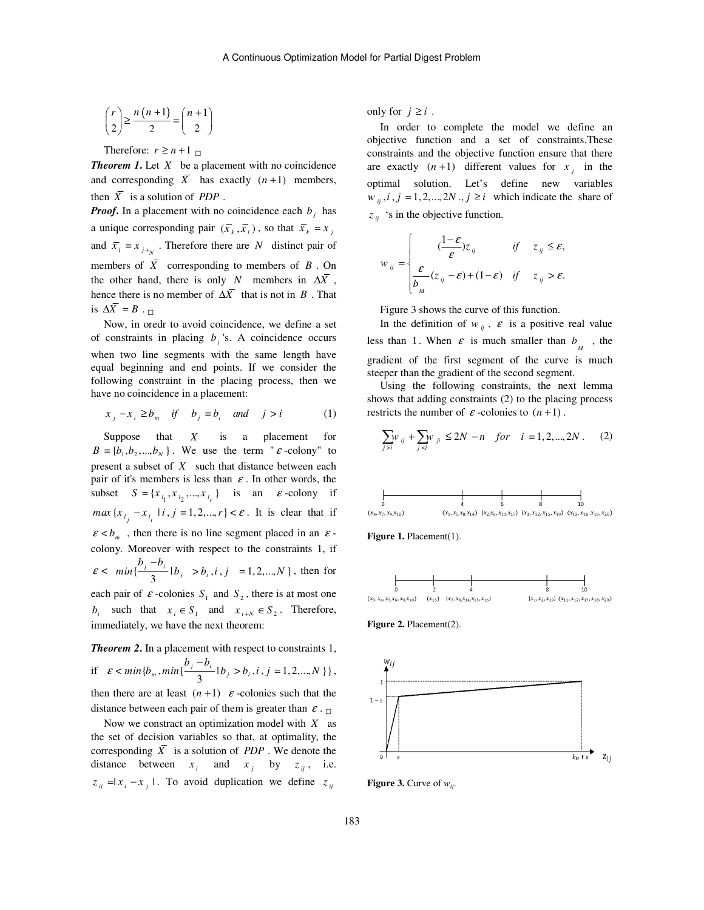$$
\binom{r}{2} \ge \frac{n(n+1)}{2} = \binom{n+1}{2}
$$

Therefore:  $r \ge n+1$   $\Box$ 

*Theorem 1***.** Let *X* be a placement with no coincidence and corresponding  $\overline{X}$  has exactly  $(n+1)$  members, then  $\overline{X}$  is a solution of *PDP*.

*Proof***.** In a placement with no coincidence each  $b_j$  has a unique corresponding pair  $(\bar{x}_k, \bar{x}_l)$ , so that  $\bar{x}_k = x_i$ and  $\bar{x}_i = x_{i+n}$ . Therefore there are *N* distinct pair of members of  $\overline{X}$  corresponding to members of  $\overline{B}$ . On the other hand, there is only *N* members in  $\Delta \overline{X}$ , hence there is no member of  $\Delta \overline{X}$  that is not in *B*. That is  $\Delta \overline{X} = B$ .  $\Box$ 

Now, in oredr to avoid coincidence, we define a set of constraints in placing  $b_j$ 's. A coincidence occurs when two line segments with the same length have equal beginning and end points. If we consider the following constraint in the placing process, then we have no coincidence in a placement:

$$
x_j - x_i \ge b_m \quad \text{if} \quad b_j = b_i \quad \text{and} \quad j > i \tag{1}
$$

Suppose that *X* is a placement for  $B = \{b_1, b_2, ..., b_N\}$ . We use the term "  $\varepsilon$  -colony" to present a subset of *X* such that distance between each pair of it's members is less than  $\varepsilon$ . In other words, the subset  $S = {x_{i_1}, x_{i_2},...,x_{i_r}}$  is an  $\varepsilon$ -colony if  $max\{x_{i_j} - x_{i_i} \mid i, j = 1, 2, ..., r\} < \varepsilon$ . It is clear that if  $\varepsilon < b_m$ , then there is no line segment placed in an  $\varepsilon$ colony. Moreover with respect to the constraints 1, if  $\varepsilon < \min\{\frac{3}{3}\}\$  $\frac{b_i - b_j}{2}$   $\mid b_j \right|$  $min\{\frac{b_j - b_i}{2} | b_j > b_i, i, j = 1, 2, ..., N\}$ , then for each pair of  $\varepsilon$ -colonies  $S_1$  and  $S_2$ , there is at most one *b*<sub>*i*</sub> such that  $x_i \in S_1$  and  $x_{i+N} \in S_2$ . Therefore, immediately, we have the next theorem:

**Theorem 2.** In a placement with respect to constraints 1,  
if 
$$
\varepsilon < min\{b_m, min\{\frac{b_j - b_i}{3} | b_j > b_i, i, j = 1, 2, ..., N\}\}\)
$$
,  
then there are at least  $(n+1) \varepsilon$ -colories such that the  
distance between each pair of them is greater than  $\varepsilon$ .

Now we constract an optimization model with *X* as the set of decision variables so that, at optimality, the corresponding  $\overline{X}$  is a solution of *PDP*. We denote the distance between  $x_i$  and  $x_j$  by  $z_{ij}$ , i.e.  $z_{ij} = |x_i - x_j|$ . To avoid duplication we define  $z_{ij}$ 

only for  $j \geq i$ .

*w*

In order to complete the model we define an objective function and a set of constraints.These constraints and the objective function ensure that there are exactly  $(n+1)$  different values for  $x_j$  in the optimal solution. Let's define new variables  $w_{ii}$ ,  $i$ ,  $j = 1, 2, \dots, 2N$ ,  $j \ge i$  which indicate the share of  $z_{ij}$  's in the objective function.

$$
v_{ij} = \begin{cases} \frac{1-\varepsilon}{\varepsilon} z_{ij} & \text{if } z_{ij} \leq \varepsilon, \\ \frac{\varepsilon}{b_{_M}} (z_{ij} - \varepsilon) + (1-\varepsilon) & \text{if } z_{ij} > \varepsilon. \end{cases}
$$

Figure 3 shows the curve of this function.

In the definition of  $w_{ij}$ ,  $\varepsilon$  is a positive real value less than 1. When  $\varepsilon$  is much smaller than  $b_{M}$ , the gradient of the first segment of the curve is much steeper than the gradient of the second segment.

Using the following constraints, the next lemma shows that adding constraints (2) to the placing process restricts the number of  $\varepsilon$ -colonies to  $(n+1)$ .

$$
\sum_{j>i} w_{ij} + \sum_{j
$$



Figure 1. Placement(1).



**Figure 2.** Placement(2).



**Figure 3.** Curve of *wij*.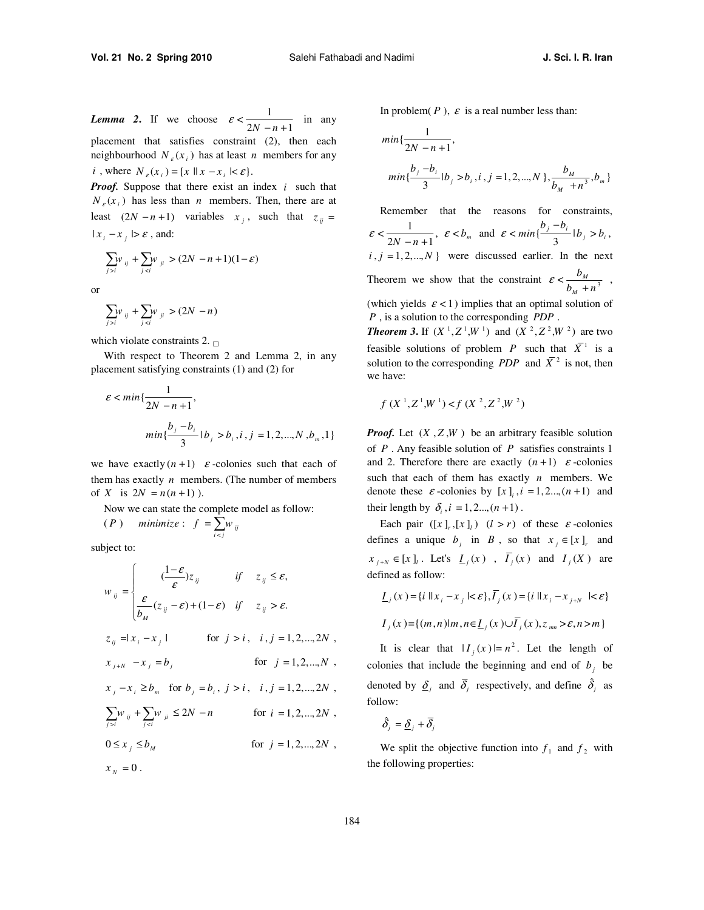*Lemma 2*. If we choose  $\varepsilon < \frac{1}{2N - n + 1}$  in any placement that satisfies constraint (2), then each neighbourhood  $N_{\varepsilon}(x_i)$  has at least *n* members for any *i*, where  $N_e(x_i) = \{x \mid x - x_i \mid \leq \varepsilon\}.$ 

*Proof.* Suppose that there exist an index *i* such that  $N_{\varepsilon}(x_i)$  has less than *n* members. Then, there are at least  $(2N - n + 1)$  variables  $x_j$ , such that  $z_{ij}$  =  $|x_i - x_i| > \varepsilon$ , and:

$$
\sum_{j>i} w_{ij} + \sum_{j (2N-n+1)(1-\varepsilon)
$$

or

$$
\sum_{j>i}w_{ij}+\sum_{j(2N-n)
$$

which violate constraints 2.  $\Box$ 

With respect to Theorem 2 and Lemma 2, in any placement satisfying constraints (1) and (2) for

$$
\varepsilon < \min\{\frac{1}{2N - n + 1},\}
$$
\n
$$
\min\{\frac{b_j - b_i}{3} | b_j > b_i, i, j = 1, 2, \dots, N, b_m, 1\}
$$

we have exactly  $(n+1)$   $\varepsilon$ -colonies such that each of them has exactly  $n$  members. (The number of members of *X* is  $2N = n(n+1)$ .

Now we can state the complete model as follow:  $(P)$  minimize:  $f = \sum_{i < j}^{n} w_{ij}$ 

subject to:

$$
w_{ij} = \begin{cases} \frac{1-\varepsilon}{\varepsilon} z_{ij} & \text{if } z_{ij} \leq \varepsilon, \\ \frac{\varepsilon}{b_M} (z_{ij} - \varepsilon) + (1-\varepsilon) & \text{if } z_{ij} > \varepsilon. \end{cases}
$$
  
\n
$$
z_{ij} = |x_i - x_j| \qquad \text{for } j > i, \quad i, j = 1, 2, ..., 2N ,
$$
  
\n
$$
x_{j+N} - x_j = b_j \qquad \text{for } j = 1, 2, ..., N ,
$$
  
\n
$$
x_j - x_i \geq b_m \text{ for } b_j = b_i, j > i, \quad i, j = 1, 2, ..., 2N ,
$$
  
\n
$$
\sum_{j>i} w_{ij} + \sum_{j  
\n
$$
0 \leq x_j \leq b_M \qquad \text{for } j = 1, 2, ..., 2N ,
$$
  
\n
$$
x_N = 0.
$$
$$

In problem( $P$ ),  $\varepsilon$  is a real number less than:

$$
min\{\frac{1}{2N - n + 1},
$$
  

$$
min\{\frac{b_j - b_i}{3} | b_j > b_i, i, j = 1, 2, ..., N\}, \frac{b_M}{b_M + n^3}, b_m\}
$$

Remember that the reasons for constraints,  $\varepsilon < \frac{1}{2N-n+1}$ ,  $\varepsilon < b_m$  and  $\varepsilon < \min\{\frac{b_j - b_i}{3} | b_j > b_i$ ,  $\frac{b_i - b_i}{2}$   $\mid b_j > b_i$  $\varepsilon$  <  $min\{\frac{b_j - b_i}{2} | b_j > b\}$  $i, j = 1, 2, \dots, N$  were discussed earlier. In the next Theorem we show that the constraint  $\mathcal{E} < \frac{U_M}{I_M}$ *M b*  $\mathcal{E} < \frac{b_M}{b_M + n^3}$ , (which yields  $\varepsilon$  < 1) implies that an optimal solution of *P* , is a solution to the corresponding *PDP* .

*Theorem 3.* If  $(X^1, Z^1, W^1)$  and  $(X^2, Z^2, W^2)$  are two feasible solutions of problem *P* such that  $\overline{X}$ <sup>1</sup> is a solution to the corresponding *PDP* and  $\overline{X}^2$  is not, then we have:

$$
f\;(X^{\,1},Z^{\,1},\!W^{\,1}) < f\;(X^{\,2},Z^{\,2},\!W^{\,2})
$$

*Proof.* Let  $(X, Z, W)$  be an arbitrary feasible solution of *P* . Any feasible solution of *P* satisfies constraints 1 and 2. Therefore there are exactly  $(n+1)$   $\varepsilon$ -colonies such that each of them has exactly *n* members. We denote these  $\varepsilon$ -colonies by  $[x]_i$ ,  $i = 1, 2..., (n + 1)$  and their length by  $\delta_i$ ,  $i = 1, 2, ..., (n + 1)$ .

Each pair  $([x]_r, [x]_l)$   $(l > r)$  of these  $\varepsilon$ -colonies defines a unique  $b_j$  in *B*, so that  $x_j \in [x]_r$  and  $[x]_{j+N} \in [x]_j$ . Let's  $\underline{I}_j(x)$ ,  $\overline{I}_j(x)$  and  $I_j(X)$  are defined as follow:

$$
\underline{I}_j(x) = \{i \mid \|x_i - x_j\| < \varepsilon\}, \overline{I}_j(x) = \{i \mid \|x_i - x_{j+N}\| < \varepsilon\}
$$
\n
$$
I_j(x) = \{ (m, n) | m, n \in \underline{I}_j(x) \cup \overline{I}_j(x), z_{mn} > \varepsilon, n > m \}
$$

It is clear that  $|I_j(x)| = n^2$ . Let the length of colonies that include the beginning and end of  $b_j$  be denoted by  $\overline{\delta}_j$  and  $\overline{\delta}_j$  respectively, and define  $\hat{\delta}_j$  as follow:

 $\hat{\delta}_j = \underline{\delta}_j + \overline{\delta}_j$ 

We split the objective function into  $f_1$  and  $f_2$  with the following properties: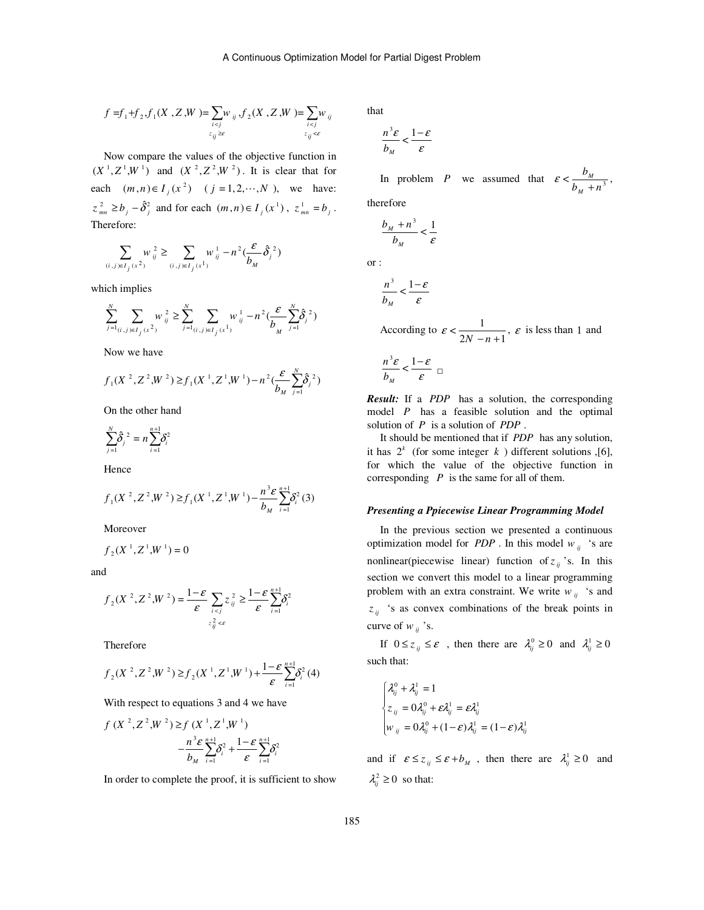$$
f = f_1 + f_2, f_1(X, Z, W) = \sum_{i < j} w_{ij}, f_2(X, Z, W) = \sum_{i < j} w_{ij}
$$
\n
$$
z_{ij} \ge \varepsilon
$$

Now compare the values of the objective function in  $(X^1, Z^1, W^1)$  and  $(X^2, Z^2, W^2)$ . It is clear that for each  $(m, n) \in I_j(x^2)$   $(j = 1, 2, \dots, N)$ , we have:  $z_{mn}^2 \ge b_j - \hat{\delta}_j^2$  and for each  $(m, n) \in I_j(x^1)$ ,  $z_{mn}^1 = b_j$ . Therefore:

$$
\sum_{(i,j)\in I_j} w_{ij}^2 \ge \sum_{(i,j)\in I_j} w_{ij}^1 - n^2 \left(\frac{\varepsilon}{b_M}\hat{\delta}_j^2\right)
$$

which implies

$$
\sum_{j=1}^{N} \sum_{(i,j)\in I_j} w_{ij}^2 \ge \sum_{j=1}^{N} \sum_{(i,j)\in I_j} w_{ij}^1 - n^2 \left(\frac{\varepsilon}{b_M} \sum_{j=1}^{N} \hat{\delta}_j^2\right)
$$

Now we have

$$
f_1(X^2, Z^2, W^2) \ge f_1(X^1, Z^1, W^1) - n^2 \left(\frac{\varepsilon}{b_M} \sum_{j=1}^N \hat{\delta}_j^2\right)
$$

On the other hand

$$
\sum_{j=1}^{N} \hat{\delta}_{j}^{2} = n \sum_{i=1}^{n+1} \delta_{i}^{2}
$$

Hence

$$
f_1(X^2, Z^2, W^2) \ge f_1(X^1, Z^1, W^1) - \frac{n^3 \varepsilon}{b_M} \sum_{i=1}^{n+1} \delta_i^2(3)
$$

Moreover

$$
f_2(X^1, Z^1, W^1) = 0
$$

and

$$
f_2(X^2, Z^2, W^2) = \frac{1-\varepsilon}{\varepsilon} \sum_{\substack{i < j \\ z_{ij}^2 < \varepsilon}} z_{ij}^2 \ge \frac{1-\varepsilon}{\varepsilon} \sum_{i=1}^{n+1} \delta_i^2
$$

Therefore

$$
f_2(X^2, Z^2, W^2) \ge f_2(X^1, Z^1, W^1) + \frac{1-\varepsilon}{\varepsilon} \sum_{i=1}^{n+1} \delta_i^2(4)
$$

With respect to equations 3 and 4 we have

$$
f(X^{2}, Z^{2}, W^{2}) \geq f(X^{1}, Z^{1}, W^{1})
$$
  

$$
-\frac{n^{3} \varepsilon}{b_{M}} \sum_{i=1}^{n+1} \delta_{i}^{2} + \frac{1-\varepsilon}{\varepsilon} \sum_{i=1}^{n+1} \delta_{i}^{2}
$$

In order to complete the proof, it is sufficient to show

that

$$
\frac{n^3 \varepsilon}{b_M} < \frac{1-\varepsilon}{\varepsilon}
$$

In problem *P* we assumed that  $\varepsilon < \frac{U_M}{h}$ *M b*  $\mathcal{E} < \frac{b_M}{b_M + n^3}$ ,

therefore

$$
\frac{b_M + n^3}{b_M} < \frac{1}{\varepsilon}
$$

or :

$$
\frac{n^3}{b_M}<\frac{1-\varepsilon}{\varepsilon}
$$

According to  $\varepsilon < \frac{1}{2N - n + 1}$ ,  $\varepsilon$  is less than 1 and

$$
\frac{n^3\varepsilon}{b_M} < \frac{1-\varepsilon}{\varepsilon} \ \sqcup
$$

*Result:* If a *PDP* has a solution, the corresponding model *P* has a feasible solution and the optimal solution of *P* is a solution of *PDP* .

It should be mentioned that if *PDP* has any solution, it has  $2^k$  (for some integer  $k$ ) different solutions ,[6], for which the value of the objective function in corresponding *P* is the same for all of them.

#### *Presenting a Ppiecewise Linear Programming Model*

In the previous section we presented a continuous optimization model for *PDP*. In this model  $w_{ii}$  's are nonlinear(piecewise linear) function of  $z_{ij}$  's. In this section we convert this model to a linear programming problem with an extra constraint. We write  $w_{ij}$  's and  $z_{ij}$  's as convex combinations of the break points in curve of  $w_{ii}$  's.

If  $0 \le z_{ij} \le \varepsilon$ , then there are  $\lambda_{ij}^0 \ge 0$  and  $\lambda_{ij}^1 \ge 0$ such that:

$$
\begin{cases} \lambda_{ij}^0 + \lambda_{ij}^1 = 1 \\ z_{ij} = 0\lambda_{ij}^0 + \varepsilon \lambda_{ij}^1 = \varepsilon \lambda_{ij}^1 \\ w_{ij} = 0\lambda_{ij}^0 + (1 - \varepsilon)\lambda_{ij}^1 = (1 - \varepsilon)\lambda_{ij}^1 \end{cases}
$$

and if  $\varepsilon \le z_{ij} \le \varepsilon + b_M$ , then there are  $\lambda_{ij}^1 \ge 0$  and  $\lambda_{ij}^2 \geq 0$  so that: